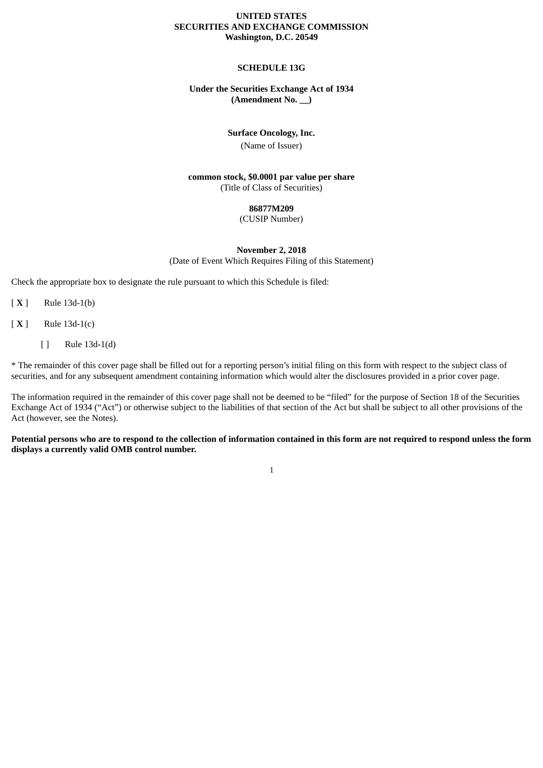### **UNITED STATES SECURITIES AND EXCHANGE COMMISSION Washington, D.C. 20549**

### **SCHEDULE 13G**

### **Under the Securities Exchange Act of 1934 (Amendment No. \_\_)**

#### **Surface Oncology, Inc.**

(Name of Issuer)

# **common stock, \$0.0001 par value per share** (Title of Class of Securities)

### **86877M209**

(CUSIP Number)

#### **November 2, 2018** (Date of Event Which Requires Filing of this Statement)

Check the appropriate box to designate the rule pursuant to which this Schedule is filed:

[ **X** ] Rule 13d-1(b)

[ **X** ] Rule 13d-1(c)

[ ] Rule 13d-1(d)

\* The remainder of this cover page shall be filled out for a reporting person's initial filing on this form with respect to the subject class of securities, and for any subsequent amendment containing information which would alter the disclosures provided in a prior cover page.

The information required in the remainder of this cover page shall not be deemed to be "filed" for the purpose of Section 18 of the Securities Exchange Act of 1934 ("Act") or otherwise subject to the liabilities of that section of the Act but shall be subject to all other provisions of the Act (however, see the Notes).

Potential persons who are to respond to the collection of information contained in this form are not required to respond unless the form **displays a currently valid OMB control number.**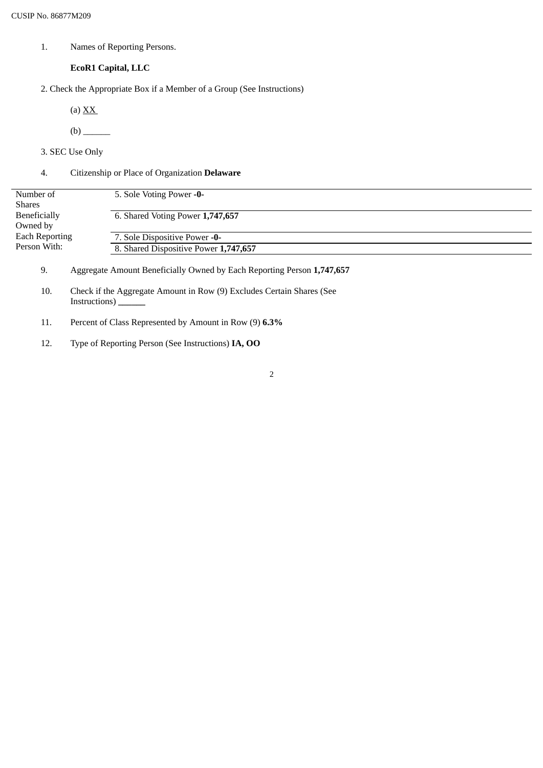1. Names of Reporting Persons.

# **EcoR1 Capital, LLC**

2. Check the Appropriate Box if a Member of a Group (See Instructions)

(a)  $X X$ 

- (b) \_\_\_\_\_\_
- 3. SEC Use Only

4. Citizenship or Place of Organization **Delaware**

| Number of             | 5. Sole Voting Power -0-              |
|-----------------------|---------------------------------------|
| <b>Shares</b>         |                                       |
| Beneficially          | 6. Shared Voting Power 1,747,657      |
| Owned by              |                                       |
| <b>Each Reporting</b> | 7. Sole Dispositive Power -0-         |
| Person With:          | 8. Shared Dispositive Power 1,747,657 |
|                       |                                       |

2

9. Aggregate Amount Beneficially Owned by Each Reporting Person **1,747,657**

- 10. Check if the Aggregate Amount in Row (9) Excludes Certain Shares (See Instructions) **\_\_\_\_\_\_**
- 11. Percent of Class Represented by Amount in Row (9) **6.3%**
- 12. Type of Reporting Person (See Instructions) **IA, OO**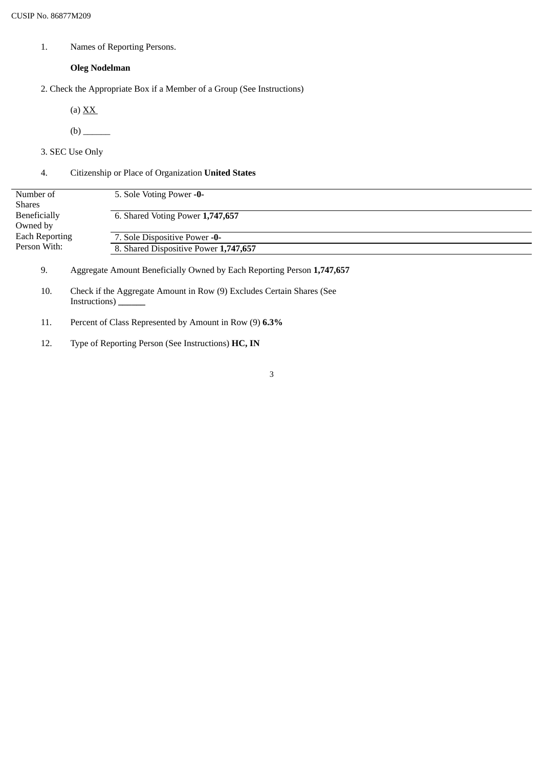1. Names of Reporting Persons.

# **Oleg Nodelman**

2. Check the Appropriate Box if a Member of a Group (See Instructions)

(a)  $X X$ 

(b) \_\_\_\_\_\_

3. SEC Use Only

4. Citizenship or Place of Organization **United States**

| Number of             | 5. Sole Voting Power -0-              |
|-----------------------|---------------------------------------|
| <b>Shares</b>         |                                       |
| Beneficially          | 6. Shared Voting Power 1,747,657      |
| Owned by              |                                       |
| <b>Each Reporting</b> | 7. Sole Dispositive Power -0-         |
| Person With:          | 8. Shared Dispositive Power 1,747,657 |
|                       |                                       |

3

9. Aggregate Amount Beneficially Owned by Each Reporting Person **1,747,657**

- 10. Check if the Aggregate Amount in Row (9) Excludes Certain Shares (See Instructions) **\_\_\_\_\_\_**
- 11. Percent of Class Represented by Amount in Row (9) **6.3%**
- 12. Type of Reporting Person (See Instructions) **HC, IN**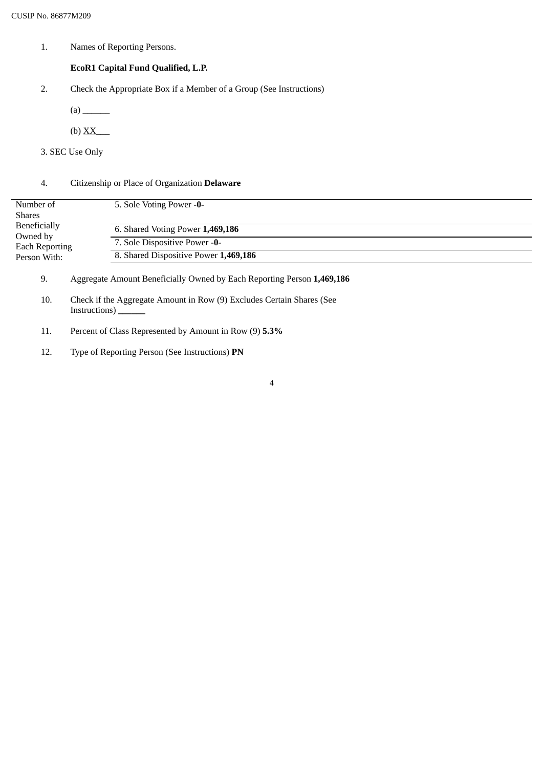1. Names of Reporting Persons.

# **EcoR1 Capital Fund Qualified, L.P.**

- 2. Check the Appropriate Box if a Member of a Group (See Instructions)
	- (a) \_\_\_\_\_\_
	- $(b)$   $\overline{XX}$
- 3. SEC Use Only

### 4. Citizenship or Place of Organization **Delaware**

| Number of<br><b>Shares</b>                                               | 5. Sole Voting Power -0-              |
|--------------------------------------------------------------------------|---------------------------------------|
| <b>Beneficially</b><br>Owned by<br><b>Each Reporting</b><br>Person With: | 6. Shared Voting Power 1,469,186      |
|                                                                          | 7. Sole Dispositive Power -0-         |
|                                                                          | 8. Shared Dispositive Power 1,469,186 |

- 9. Aggregate Amount Beneficially Owned by Each Reporting Person **1,469,186**
- 10. Check if the Aggregate Amount in Row (9) Excludes Certain Shares (See Instructions) **\_\_\_\_\_\_**
- 11. Percent of Class Represented by Amount in Row (9) **5.3%**
- 12. Type of Reporting Person (See Instructions) **PN**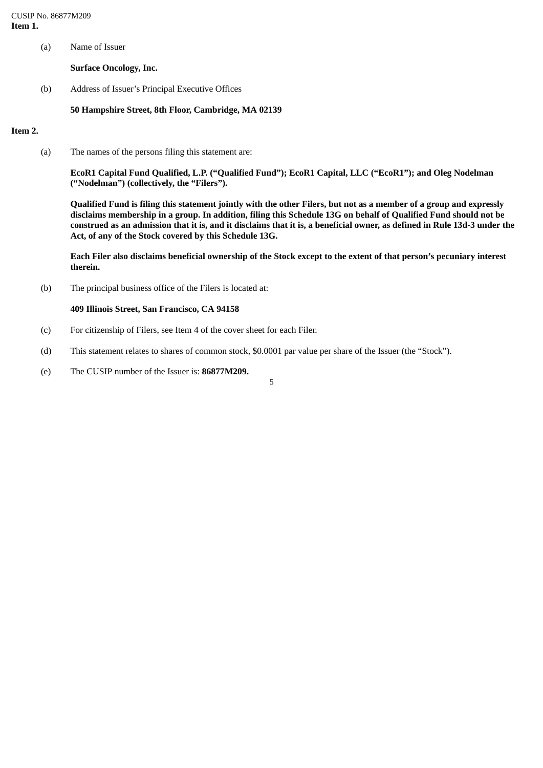CUSIP No. 86877M209 **Item 1.**

(a) Name of Issuer

**Surface Oncology, Inc.**

(b) Address of Issuer's Principal Executive Offices

**50 Hampshire Street, 8th Floor, Cambridge, MA 02139**

#### **Item 2.**

(a) The names of the persons filing this statement are:

**EcoR1 Capital Fund Qualified, L.P. ("Qualified Fund"); EcoR1 Capital, LLC ("EcoR1"); and Oleg Nodelman ("Nodelman") (collectively, the "Filers").**

Qualified Fund is filing this statement jointly with the other Filers, but not as a member of a group and expressly disclaims membership in a group. In addition, filing this Schedule 13G on behalf of Qualified Fund should not be construed as an admission that it is, and it disclaims that it is, a beneficial owner, as defined in Rule 13d-3 under the **Act, of any of the Stock covered by this Schedule 13G.**

Each Filer also disclaims beneficial ownership of the Stock except to the extent of that person's pecuniary interest **therein.**

(b) The principal business office of the Filers is located at:

#### **409 Illinois Street, San Francisco, CA 94158**

- (c) For citizenship of Filers, see Item 4 of the cover sheet for each Filer.
- (d) This statement relates to shares of common stock, \$0.0001 par value per share of the Issuer (the "Stock").
- (e) The CUSIP number of the Issuer is: **86877M209.**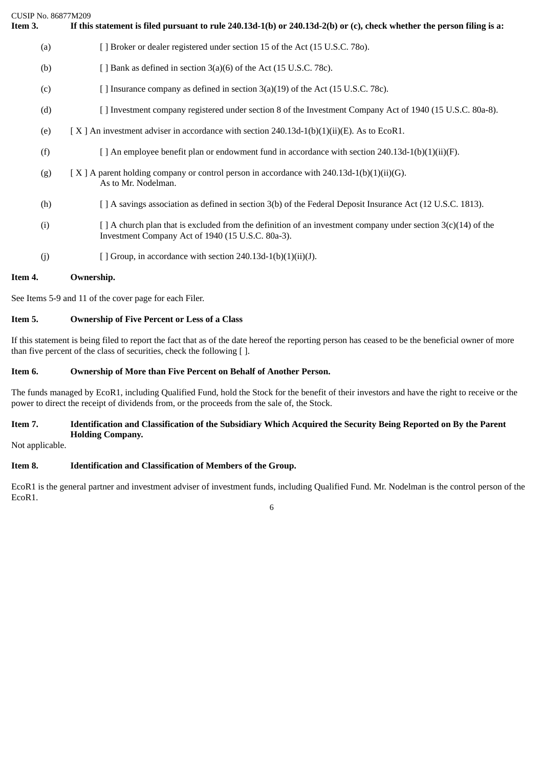CUSIP No. 86877M209 Item 3. If this statement is filed pursuant to rule 240.13d-1(b) or 240.13d-2(b) or (c), check whether the person filing is a: (a) [ ] Broker or dealer registered under section 15 of the Act (15 U.S.C. 78o). (b)  $[$  ] Bank as defined in section 3(a)(6) of the Act (15 U.S.C. 78c). (c)  $[$  Insurance company as defined in section 3(a)(19) of the Act (15 U.S.C. 78c). (d) [ ] Investment company registered under section 8 of the Investment Company Act of 1940 (15 U.S.C. 80a-8). (e)  $[X]$  An investment adviser in accordance with section 240.13d-1(b)(1)(ii)(E). As to EcoR1. (f) [ ] An employee benefit plan or endowment fund in accordance with section 240.13d-1(b)(1)(ii)(F). (g)  $[X]$  A parent holding company or control person in accordance with 240.13d-1(b)(1)(ii)(G). As to Mr. Nodelman. (h) [ ] A savings association as defined in section 3(b) of the Federal Deposit Insurance Act (12 U.S.C. 1813). (i)  $[ ] A$  church plan that is excluded from the definition of an investment company under section  $3(c)(14)$  of the Investment Company Act of 1940 (15 U.S.C. 80a-3). (j)  $[J \text{Group}, \text{ in accordance with section 240.13d-1(b)(1)(ii)(J)}$ .

# **Item 4. Ownership.**

See Items 5-9 and 11 of the cover page for each Filer.

#### **Item 5. Ownership of Five Percent or Less of a Class**

If this statement is being filed to report the fact that as of the date hereof the reporting person has ceased to be the beneficial owner of more than five percent of the class of securities, check the following [ ].

#### **Item 6. Ownership of More than Five Percent on Behalf of Another Person.**

The funds managed by EcoR1, including Qualified Fund, hold the Stock for the benefit of their investors and have the right to receive or the power to direct the receipt of dividends from, or the proceeds from the sale of, the Stock.

### Item 7. Identification and Classification of the Subsidiary Which Acquired the Security Being Reported on By the Parent **Holding Company.**

Not applicable.

### **Item 8. Identification and Classification of Members of the Group.**

EcoR1 is the general partner and investment adviser of investment funds, including Qualified Fund. Mr. Nodelman is the control person of the EcoR1.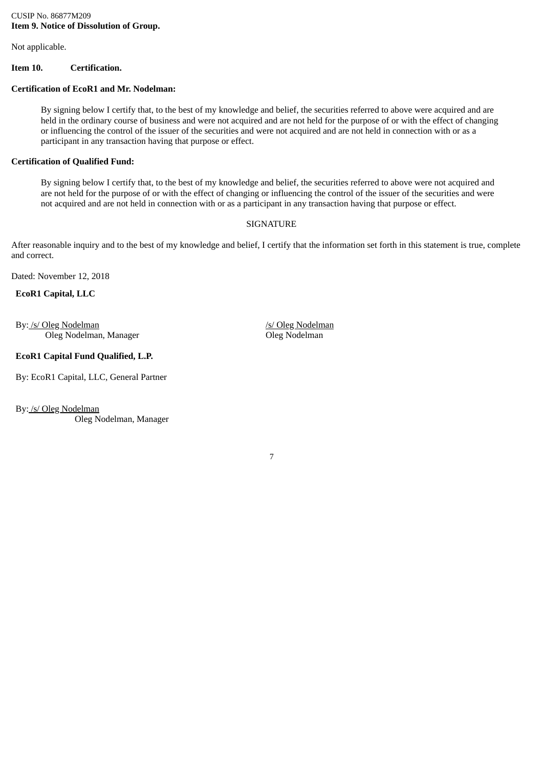### CUSIP No. 86877M209 **Item 9. Notice of Dissolution of Group.**

Not applicable.

# **Item 10. Certification.**

# **Certification of EcoR1 and Mr. Nodelman:**

By signing below I certify that, to the best of my knowledge and belief, the securities referred to above were acquired and are held in the ordinary course of business and were not acquired and are not held for the purpose of or with the effect of changing or influencing the control of the issuer of the securities and were not acquired and are not held in connection with or as a participant in any transaction having that purpose or effect.

# **Certification of Qualified Fund:**

By signing below I certify that, to the best of my knowledge and belief, the securities referred to above were not acquired and are not held for the purpose of or with the effect of changing or influencing the control of the issuer of the securities and were not acquired and are not held in connection with or as a participant in any transaction having that purpose or effect.

# SIGNATURE

After reasonable inquiry and to the best of my knowledge and belief, I certify that the information set forth in this statement is true, complete and correct.

Dated: November 12, 2018

# **EcoR1 Capital, LLC**

By: /s/ Oleg Nodelman Oleg Nodelman, Manager

**EcoR1 Capital Fund Qualified, L.P.**

By: EcoR1 Capital, LLC, General Partner

By: /s/ Oleg Nodelman

Oleg Nodelman, Manager

/s/ Oleg Nodelman Oleg Nodelman